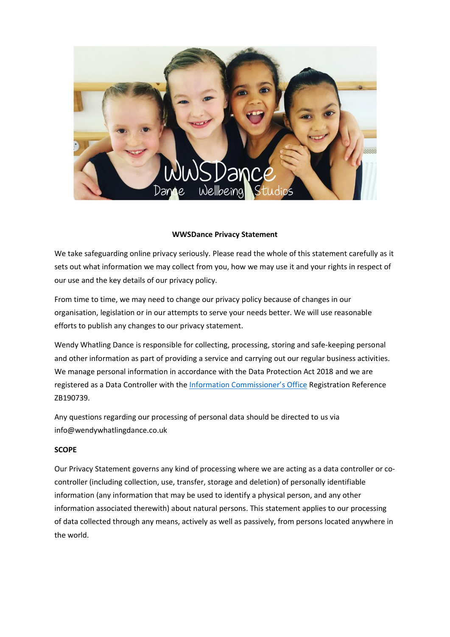

### **WWSDance Privacy Statement**

We take safeguarding online privacy seriously. Please read the whole of this statement carefully as it sets out what information we may collect from you, how we may use it and your rights in respect of our use and the key details of our privacy policy.

From time to time, we may need to change our privacy policy because of changes in our organisation, legislation or in our attempts to serve your needs better. We will use reasonable efforts to publish any changes to our privacy statement.

Wendy Whatling Dance is responsible for collecting, processing, storing and safe-keeping personal and other information as part of providing a service and carrying out our regular business activities. We manage personal information in accordance with the Data Protection Act 2018 and we are registered as a Data Controller with the [Information Commissioner's Office](https://ico.org.uk/) Registration Reference ZB190739.

Any questions regarding our processing of personal data should be directed to us via info@wendywhatlingdance.co.uk

## **SCOPE**

Our Privacy Statement governs any kind of processing where we are acting as a data controller or cocontroller (including collection, use, transfer, storage and deletion) of personally identifiable information (any information that may be used to identify a physical person, and any other information associated therewith) about natural persons. This statement applies to our processing of data collected through any means, actively as well as passively, from persons located anywhere in the world.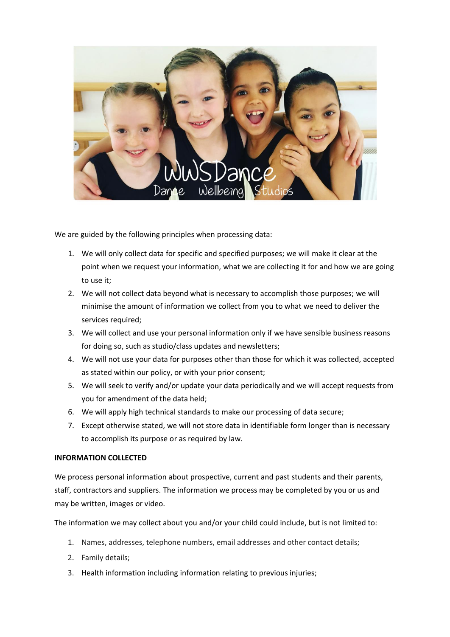

We are guided by the following principles when processing data:

- 1. We will only collect data for specific and specified purposes; we will make it clear at the point when we request your information, what we are collecting it for and how we are going to use it;
- 2. We will not collect data beyond what is necessary to accomplish those purposes; we will minimise the amount of information we collect from you to what we need to deliver the services required:
- 3. We will collect and use your personal information only if we have sensible business reasons for doing so, such as studio/class updates and newsletters;
- 4. We will not use your data for purposes other than those for which it was collected, accepted as stated within our policy, or with your prior consent;
- 5. We will seek to verify and/or update your data periodically and we will accept requests from you for amendment of the data held;
- 6. We will apply high technical standards to make our processing of data secure;
- 7. Except otherwise stated, we will not store data in identifiable form longer than is necessary to accomplish its purpose or as required by law.

## **INFORMATION COLLECTED**

We process personal information about prospective, current and past students and their parents, staff, contractors and suppliers. The information we process may be completed by you or us and may be written, images or video.

The information we may collect about you and/or your child could include, but is not limited to:

- 1. Names, addresses, telephone numbers, email addresses and other contact details;
- 2. Family details;
- 3. Health information including information relating to previous injuries;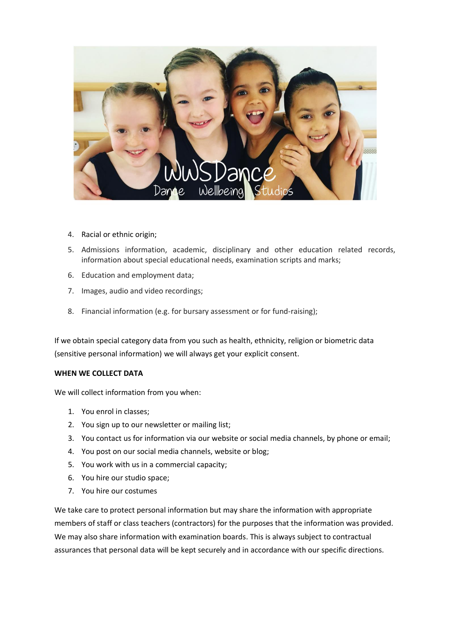

- 4. Racial or ethnic origin;
- 5. Admissions information, academic, disciplinary and other education related records, information about special educational needs, examination scripts and marks;
- 6. Education and employment data;
- 7. Images, audio and video recordings;
- 8. Financial information (e.g. for bursary assessment or for fund-raising);

If we obtain special category data from you such as health, ethnicity, religion or biometric data (sensitive personal information) we will always get your explicit consent.

## **WHEN WE COLLECT DATA**

We will collect information from you when:

- 1. You enrol in classes;
- 2. You sign up to our newsletter or mailing list;
- 3. You contact us for information via our website or social media channels, by phone or email;
- 4. You post on our social media channels, website or blog;
- 5. You work with us in a commercial capacity;
- 6. You hire our studio space;
- 7. You hire our costumes

We take care to protect personal information but may share the information with appropriate members of staff or class teachers (contractors) for the purposes that the information was provided. We may also share information with examination boards. This is always subject to contractual assurances that personal data will be kept securely and in accordance with our specific directions.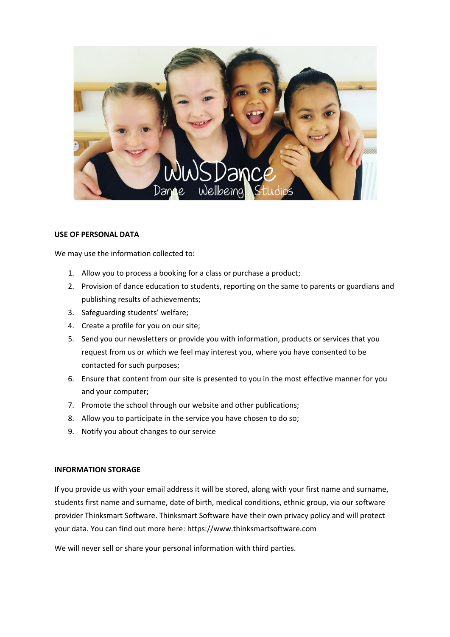

### **USE OF PERSONAL DATA**

We may use the information collected to:

- 1. Allow you to process a booking for a class or purchase a product;
- 2. Provision of dance education to students, reporting on the same to parents or guardians and publishing results of achievements;
- 3. Safeguarding students' welfare;
- 4. Create a profile for you on our site;
- 5. Send you our newsletters or provide you with information, products or services that you request from us or which we feel may interest you, where you have consented to be contacted for such purposes;
- 6. Ensure that content from our site is presented to you in the most effective manner for you and your computer;
- 7. Promote the school through our website and other publications;
- 8. Allow you to participate in the service you have chosen to do so;
- 9. Notify you about changes to our service

#### **INFORMATION STORAGE**

If you provide us with your email address it will be stored, along with your first name and surname, students first name and surname, date of birth, medical conditions, ethnic group, via our software provider Thinksmart Software. Thinksmart Software have their own privacy policy and will protect your data. You can find out more here: https://www.thinksmartsoftware.com

We will never sell or share your personal information with third parties.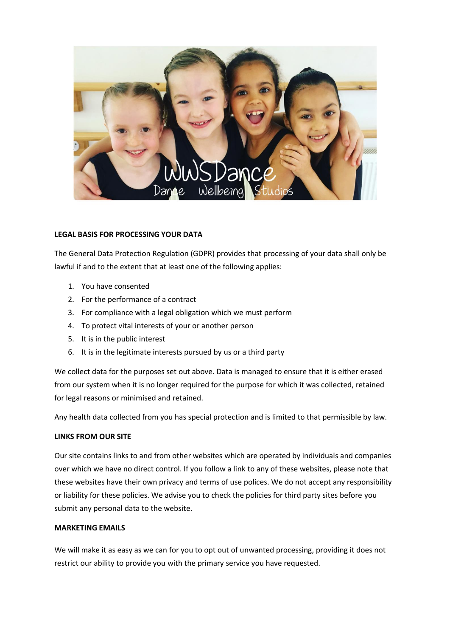

## **LEGAL BASIS FOR PROCESSING YOUR DATA**

The General Data Protection Regulation (GDPR) provides that processing of your data shall only be lawful if and to the extent that at least one of the following applies:

- 1. You have consented
- 2. For the performance of a contract
- 3. For compliance with a legal obligation which we must perform
- 4. To protect vital interests of your or another person
- 5. It is in the public interest
- 6. It is in the legitimate interests pursued by us or a third party

We collect data for the purposes set out above. Data is managed to ensure that it is either erased from our system when it is no longer required for the purpose for which it was collected, retained for legal reasons or minimised and retained.

Any health data collected from you has special protection and is limited to that permissible by law.

## **LINKS FROM OUR SITE**

Our site contains links to and from other websites which are operated by individuals and companies over which we have no direct control. If you follow a link to any of these websites, please note that these websites have their own privacy and terms of use polices. We do not accept any responsibility or liability for these policies. We advise you to check the policies for third party sites before you submit any personal data to the website.

# **MARKETING EMAILS**

We will make it as easy as we can for you to opt out of unwanted processing, providing it does not restrict our ability to provide you with the primary service you have requested.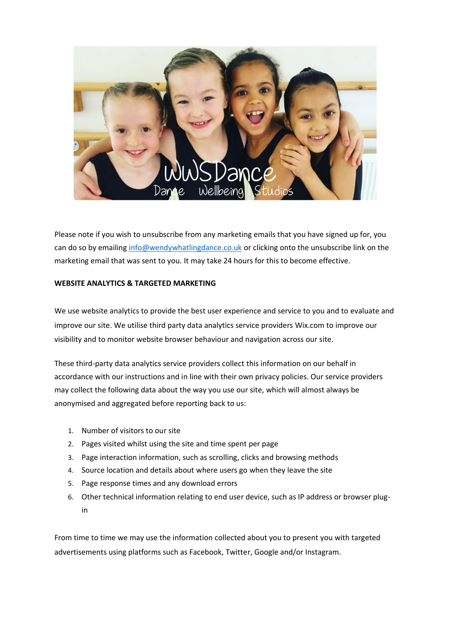

Please note if you wish to unsubscribe from any marketing emails that you have signed up for, you can do so by emailing [info@wendywhatlingdance.co.uk](mailto:info@wendywhatlingdance.co.uk) or clicking onto the unsubscribe link on the marketing email that was sent to you*.* It may take 24 hours for this to become effective.

## **WEBSITE ANALYTICS & TARGETED MARKETING**

We use website analytics to provide the best user experience and service to you and to evaluate and improve our site. We utilise third party data analytics service providers Wix.com to improve our visibility and to monitor website browser behaviour and navigation across our site.

These third-party data analytics service providers collect this information on our behalf in accordance with our instructions and in line with their own privacy policies. Our service providers may collect the following data about the way you use our site, which will almost always be anonymised and aggregated before reporting back to us:

- 1. Number of visitors to our site
- 2. Pages visited whilst using the site and time spent per page
- 3. Page interaction information, such as scrolling, clicks and browsing methods
- 4. Source location and details about where users go when they leave the site
- 5. Page response times and any download errors
- 6. Other technical information relating to end user device, such as IP address or browser plugin

From time to time we may use the information collected about you to present you with targeted advertisements using platforms such as Facebook, Twitter, Google and/or Instagram.